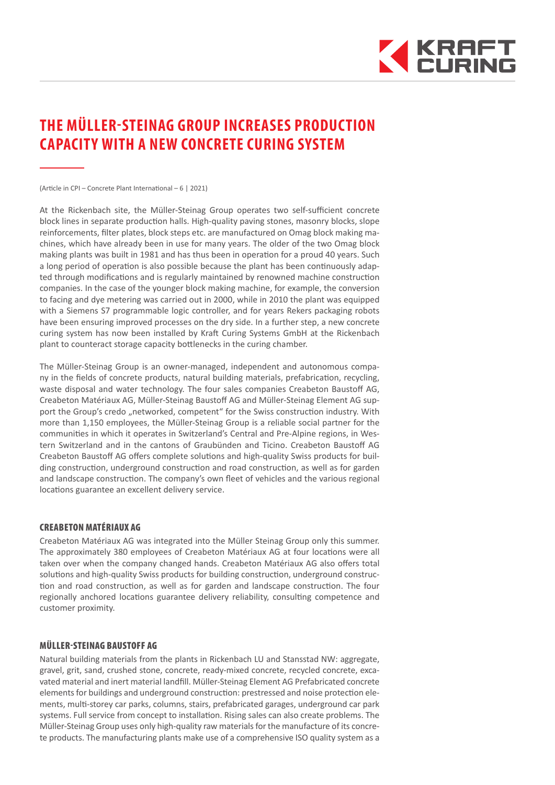

## **THE MÜLLER-STEINAG GROUP INCREASES PRODUCTION CAPACITY WITH A NEW CONCRETE CURING SYSTEM**

(Article in CPI – Concrete Plant International – 6 | 2021)

At the Rickenbach site, the Müller-Steinag Group operates two self-sufficient concrete block lines in separate production halls. High-quality paving stones, masonry blocks, slope reinforcements, filter plates, block steps etc. are manufactured on Omag block making machines, which have already been in use for many years. The older of the two Omag block making plants was built in 1981 and has thus been in operation for a proud 40 years. Such a long period of operation is also possible because the plant has been continuously adapted through modifications and is regularly maintained by renowned machine construction companies. In the case of the younger block making machine, for example, the conversion to facing and dye metering was carried out in 2000, while in 2010 the plant was equipped with a Siemens S7 programmable logic controller, and for years Rekers packaging robots have been ensuring improved processes on the dry side. In a further step, a new concrete curing system has now been installed by Kraft Curing Systems GmbH at the Rickenbach plant to counteract storage capacity bottlenecks in the curing chamber.

The Müller-Steinag Group is an owner-managed, independent and autonomous company in the fields of concrete products, natural building materials, prefabrication, recycling, waste disposal and water technology. The four sales companies Creabeton Baustoff AG, Creabeton Matériaux AG, Müller-Steinag Baustoff AG and Müller-Steinag Element AG support the Group's credo "networked, competent" for the Swiss construction industry. With more than 1,150 employees, the Müller-Steinag Group is a reliable social partner for the communities in which it operates in Switzerland's Central and Pre-Alpine regions, in Western Switzerland and in the cantons of Graubünden and Ticino. Creabeton Baustoff AG Creabeton Baustoff AG offers complete solutions and high-quality Swiss products for building construction, underground construction and road construction, as well as for garden and landscape construction. The company's own fleet of vehicles and the various regional locations guarantee an excellent delivery service.

## CREABETON MATÉRIAUX AG

Creabeton Matériaux AG was integrated into the Müller Steinag Group only this summer. The approximately 380 employees of Creabeton Matériaux AG at four locations were all taken over when the company changed hands. Creabeton Matériaux AG also offers total solutions and high-quality Swiss products for building construction, underground construction and road construction, as well as for garden and landscape construction. The four regionally anchored locations guarantee delivery reliability, consulting competence and customer proximity.

## MÜLLER-STEINAG BAUSTOFF AG

Natural building materials from the plants in Rickenbach LU and Stansstad NW: aggregate, gravel, grit, sand, crushed stone, concrete, ready-mixed concrete, recycled concrete, excavated material and inert material landfill. Müller-Steinag Element AG Prefabricated concrete elements for buildings and underground construction: prestressed and noise protection elements, multi-storey car parks, columns, stairs, prefabricated garages, underground car park systems. Full service from concept to installation. Rising sales can also create problems. The Müller-Steinag Group uses only high-quality raw materials for the manufacture of its concrete products. The manufacturing plants make use of a comprehensive ISO quality system as a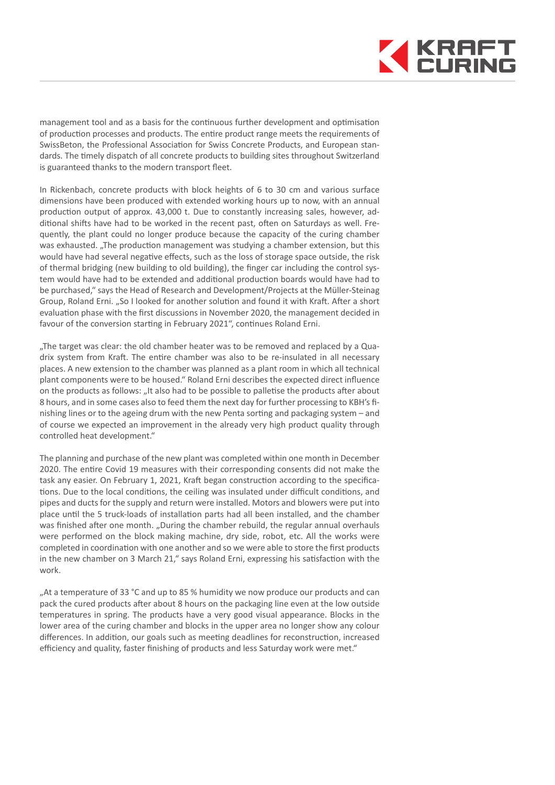

management tool and as a basis for the continuous further development and optimisation of production processes and products. The entire product range meets the requirements of SwissBeton, the Professional Association for Swiss Concrete Products, and European standards. The timely dispatch of all concrete products to building sites throughout Switzerland is guaranteed thanks to the modern transport fleet.

In Rickenbach, concrete products with block heights of 6 to 30 cm and various surface dimensions have been produced with extended working hours up to now, with an annual production output of approx. 43,000 t. Due to constantly increasing sales, however, additional shifts have had to be worked in the recent past, often on Saturdays as well. Frequently, the plant could no longer produce because the capacity of the curing chamber was exhausted. "The production management was studying a chamber extension, but this would have had several negative effects, such as the loss of storage space outside, the risk of thermal bridging (new building to old building), the finger car including the control system would have had to be extended and additional production boards would have had to be purchased," says the Head of Research and Development/Projects at the Müller-Steinag Group, Roland Erni. "So I looked for another solution and found it with Kraft. After a short evaluation phase with the first discussions in November 2020, the management decided in favour of the conversion starting in February 2021", continues Roland Erni.

"The target was clear: the old chamber heater was to be removed and replaced by a Quadrix system from Kraft. The entire chamber was also to be re-insulated in all necessary places. A new extension to the chamber was planned as a plant room in which all technical plant components were to be housed." Roland Erni describes the expected direct influence on the products as follows: "It also had to be possible to palletise the products after about 8 hours, and in some cases also to feed them the next day for further processing to KBH's finishing lines or to the ageing drum with the new Penta sorting and packaging system – and of course we expected an improvement in the already very high product quality through controlled heat development."

The planning and purchase of the new plant was completed within one month in December 2020. The entire Covid 19 measures with their corresponding consents did not make the task any easier. On February 1, 2021, Kraft began construction according to the specifications. Due to the local conditions, the ceiling was insulated under difficult conditions, and pipes and ducts for the supply and return were installed. Motors and blowers were put into place until the 5 truck-loads of installation parts had all been installed, and the chamber was finished after one month. "During the chamber rebuild, the regular annual overhauls were performed on the block making machine, dry side, robot, etc. All the works were completed in coordination with one another and so we were able to store the first products in the new chamber on 3 March 21," says Roland Erni, expressing his satisfaction with the work.

"At a temperature of 33 °C and up to 85 % humidity we now produce our products and can pack the cured products after about 8 hours on the packaging line even at the low outside temperatures in spring. The products have a very good visual appearance. Blocks in the lower area of the curing chamber and blocks in the upper area no longer show any colour differences. In addition, our goals such as meeting deadlines for reconstruction, increased efficiency and quality, faster finishing of products and less Saturday work were met."